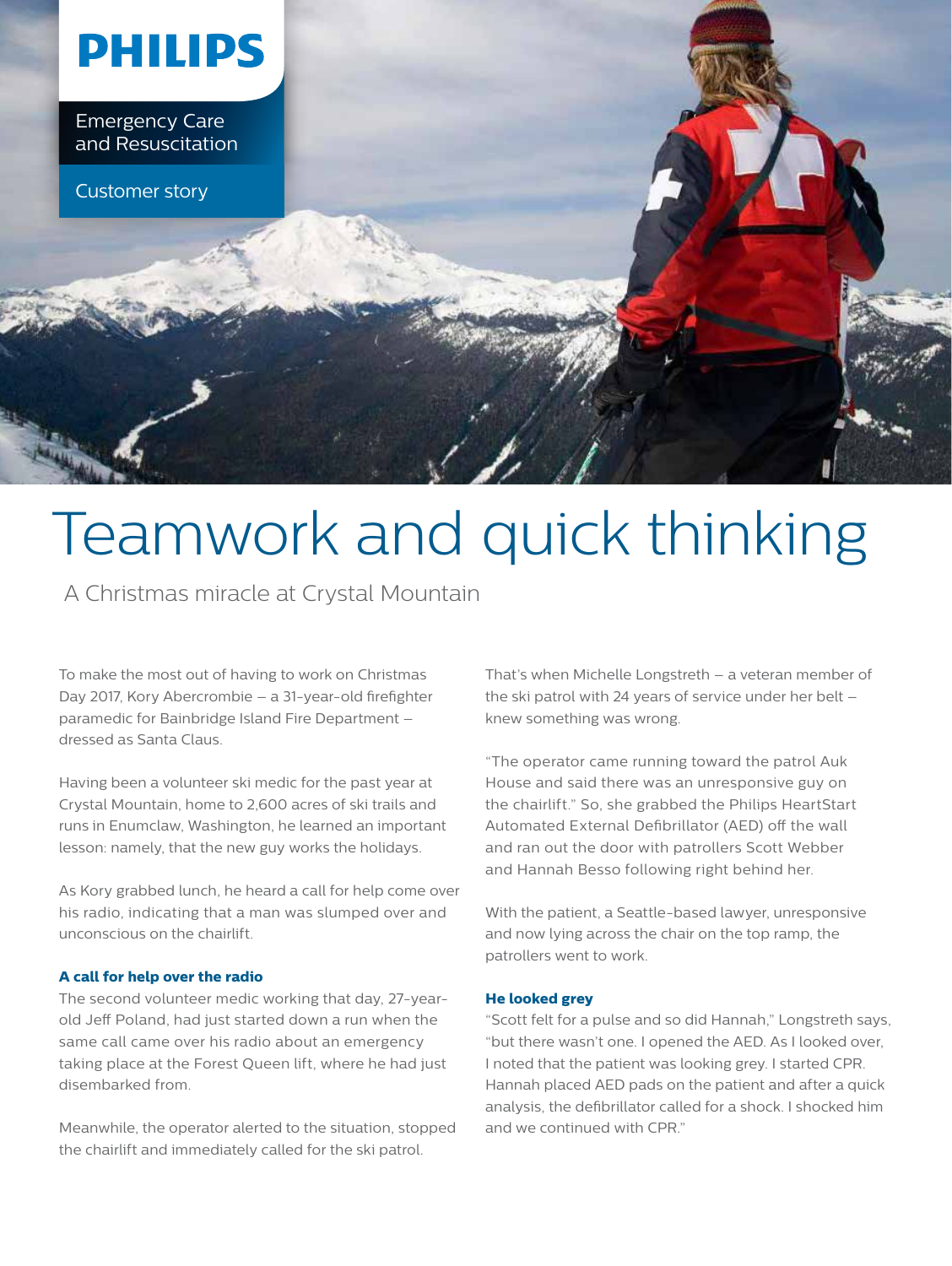

# Teamwork and quick thinking

A Christmas miracle at Crystal Mountain

To make the most out of having to work on Christmas Day 2017, Kory Abercrombie – a 31-year-old firefighter paramedic for Bainbridge Island Fire Department – dressed as Santa Claus.

Having been a volunteer ski medic for the past year at Crystal Mountain, home to 2,600 acres of ski trails and runs in Enumclaw, Washington, he learned an important lesson: namely, that the new guy works the holidays.

As Kory grabbed lunch, he heard a call for help come over his radio, indicating that a man was slumped over and unconscious on the chairlift.

## **A call for help over the radio**

The second volunteer medic working that day, 27-yearold Jeff Poland, had just started down a run when the same call came over his radio about an emergency taking place at the Forest Queen lift, where he had just disembarked from.

Meanwhile, the operator alerted to the situation, stopped the chairlift and immediately called for the ski patrol.

That's when Michelle Longstreth – a veteran member of the ski patrol with 24 years of service under her belt – knew something was wrong.

"The operator came running toward the patrol Auk House and said there was an unresponsive guy on the chairlift." So, she grabbed the Philips HeartStart Automated External Defibrillator (AED) off the wall and ran out the door with patrollers Scott Webber and Hannah Besso following right behind her.

With the patient, a Seattle-based lawyer, unresponsive and now lying across the chair on the top ramp, the patrollers went to work.

## **He looked grey**

"Scott felt for a pulse and so did Hannah," Longstreth says, "but there wasn't one. I opened the AED. As I looked over, I noted that the patient was looking grey. I started CPR. Hannah placed AED pads on the patient and after a quick analysis, the defibrillator called for a shock. I shocked him and we continued with CPR."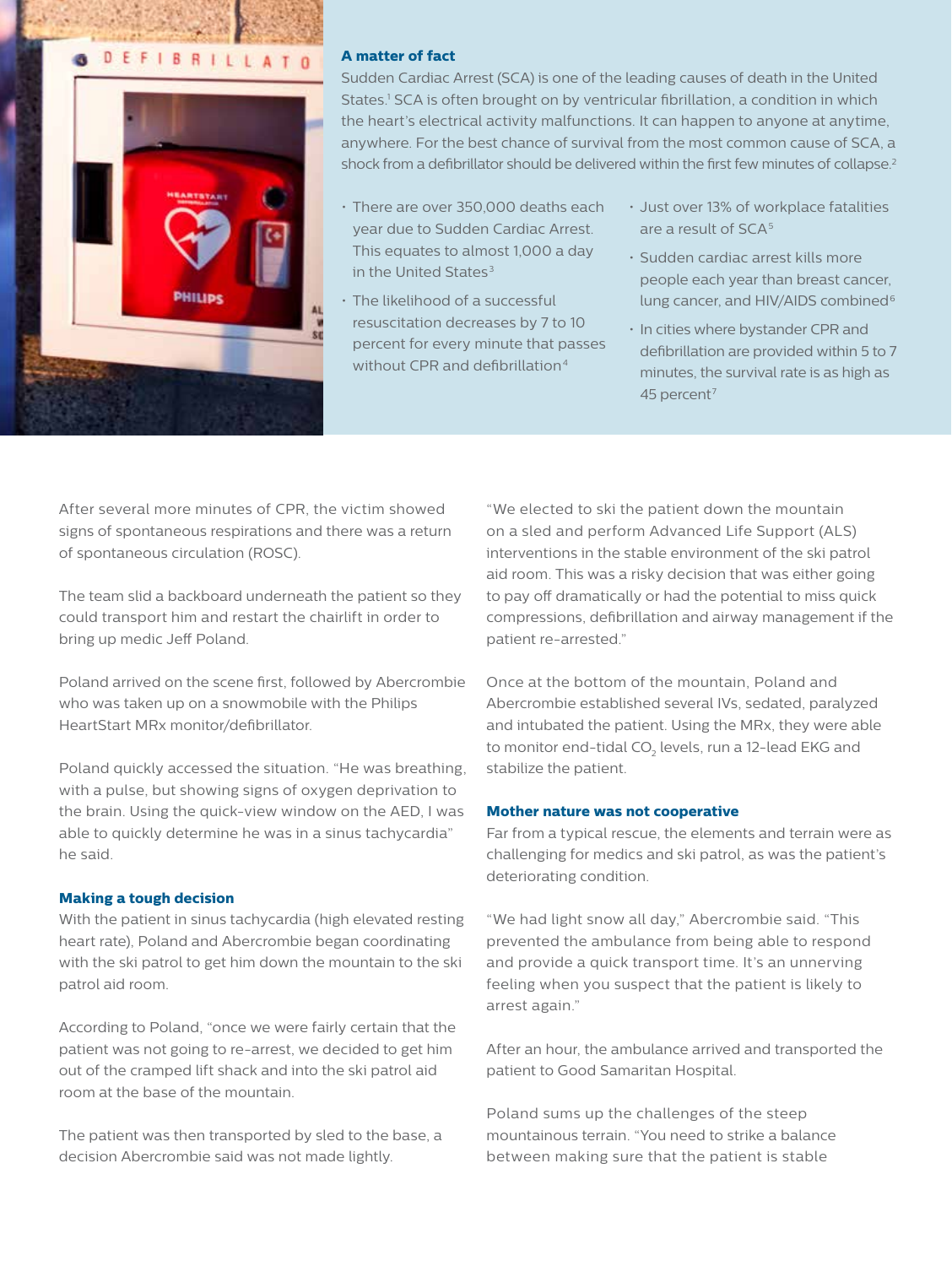

## **A matter of fact**

Sudden Cardiac Arrest (SCA) is one of the leading causes of death in the United States.<sup>1</sup> SCA is often brought on by ventricular fibrillation, a condition in which the heart's electrical activity malfunctions. It can happen to anyone at anytime, anywhere. For the best chance of survival from the most common cause of SCA, a shock from a defibrillator should be delivered within the first few minutes of collapse.<sup>2</sup>

- There are over 350,000 deaths each year due to Sudden Cardiac Arrest. This equates to almost 1,000 a day in the United States $3$
- The likelihood of a successful resuscitation decreases by 7 to 10 percent for every minute that passes without CPR and defibrillation<sup>4</sup>
- Just over 13% of workplace fatalities are a result of  $SCA<sup>5</sup>$
- Sudden cardiac arrest kills more people each year than breast cancer, lung cancer, and HIV/AIDS combined<sup>6</sup>
- In cities where bystander CPR and defibrillation are provided within 5 to 7 minutes, the survival rate is as high as 45 percent<sup>7</sup>

After several more minutes of CPR, the victim showed signs of spontaneous respirations and there was a return of spontaneous circulation (ROSC).

The team slid a backboard underneath the patient so they could transport him and restart the chairlift in order to bring up medic Jeff Poland.

Poland arrived on the scene first, followed by Abercrombie who was taken up on a snowmobile with the Philips HeartStart MRx monitor/defibrillator.

Poland quickly accessed the situation. "He was breathing, with a pulse, but showing signs of oxygen deprivation to the brain. Using the quick-view window on the AED, I was able to quickly determine he was in a sinus tachycardia" he said.

## **Making a tough decision**

With the patient in sinus tachycardia (high elevated resting heart rate), Poland and Abercrombie began coordinating with the ski patrol to get him down the mountain to the ski patrol aid room.

According to Poland, "once we were fairly certain that the patient was not going to re-arrest, we decided to get him out of the cramped lift shack and into the ski patrol aid room at the base of the mountain.

The patient was then transported by sled to the base, a decision Abercrombie said was not made lightly.

"We elected to ski the patient down the mountain on a sled and perform Advanced Life Support (ALS) interventions in the stable environment of the ski patrol aid room. This was a risky decision that was either going to pay off dramatically or had the potential to miss quick compressions, defibrillation and airway management if the patient re-arrested."

Once at the bottom of the mountain, Poland and Abercrombie established several IVs, sedated, paralyzed and intubated the patient. Using the MRx, they were able to monitor end-tidal CO $_{2}$  levels, run a 12-lead EKG and stabilize the patient.

#### **Mother nature was not cooperative**

Far from a typical rescue, the elements and terrain were as challenging for medics and ski patrol, as was the patient's deteriorating condition.

"We had light snow all day," Abercrombie said. "This prevented the ambulance from being able to respond and provide a quick transport time. It's an unnerving feeling when you suspect that the patient is likely to arrest again."

After an hour, the ambulance arrived and transported the patient to Good Samaritan Hospital.

Poland sums up the challenges of the steep mountainous terrain. "You need to strike a balance between making sure that the patient is stable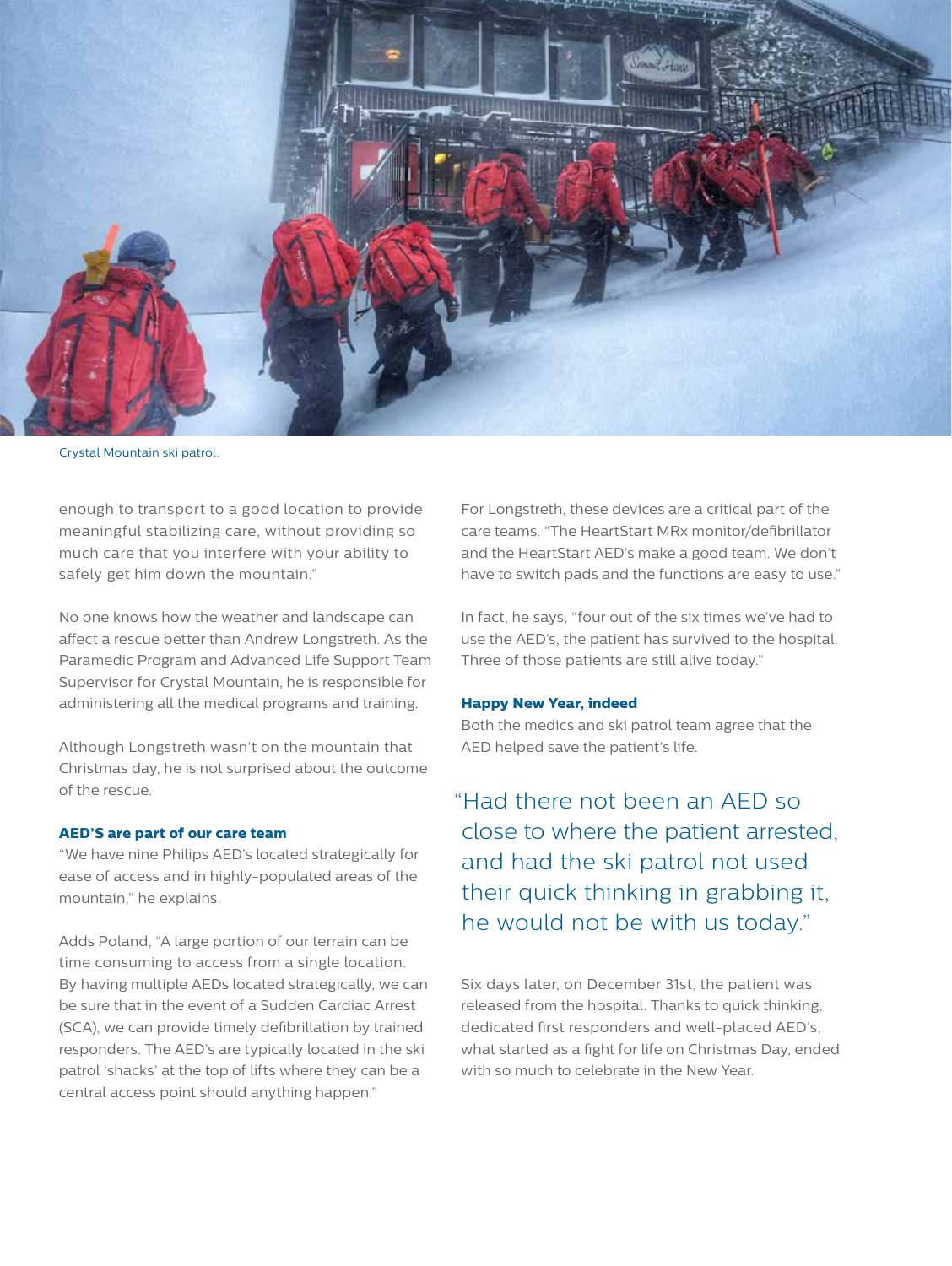

Crystal Mountain ski patrol.

enough to transport to a good location to provide meaningful stabilizing care, without providing so much care that you interfere with your ability to safely get him down the mountain."

No one knows how the weather and landscape can affect a rescue better than Andrew Longstreth. As the Paramedic Program and Advanced Life Support Team Supervisor for Crystal Mountain, he is responsible for administering all the medical programs and training.

Although Longstreth wasn't on the mountain that Christmas day, he is not surprised about the outcome of the rescue.

#### **AED'S are part of our care team**

"We have nine Philips AED's located strategically for ease of access and in highly-populated areas of the mountain," he explains.

Adds Poland, "A large portion of our terrain can be time consuming to access from a single location. By having multiple AEDs located strategically, we can be sure that in the event of a Sudden Cardiac Arrest (SCA), we can provide timely defibrillation by trained responders. The AED's are typically located in the ski patrol 'shacks' at the top of lifts where they can be a central access point should anything happen."

For Longstreth, these devices are a critical part of the care teams. "The HeartStart MRx monitor/defibrillator and the HeartStart AED's make a good team. We don't have to switch pads and the functions are easy to use."

In fact, he says, "four out of the six times we've had to use the AED's, the patient has survived to the hospital. Three of those patients are still alive today."

#### **Happy New Year, indeed**

Both the medics and ski patrol team agree that the AED helped save the patient's life.

"Had there not been an AED so close to where the patient arrested, and had the ski patrol not used their quick thinking in grabbing it, he would not be with us today."

Six days later, on December 31st, the patient was released from the hospital. Thanks to quick thinking, dedicated first responders and well-placed AED's, what started as a fight for life on Christmas Day, ended with so much to celebrate in the New Year.